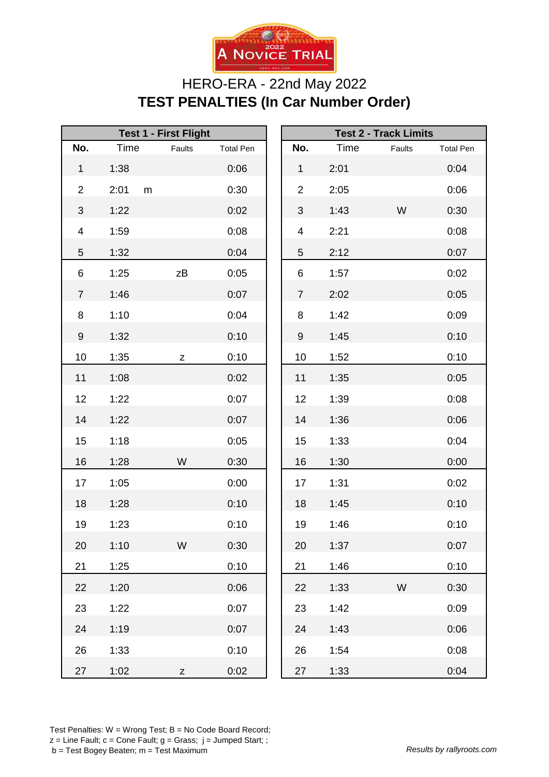

## HERO-ERA - 22nd May 2022 **TEST PENALTIES (In Car Number Order)**

| <b>Test 1 - First Flight</b> |                   |        |                  | <b>Test 2 - Track Limits</b> |      |        |                  |
|------------------------------|-------------------|--------|------------------|------------------------------|------|--------|------------------|
| No.                          | Time              | Faults | <b>Total Pen</b> | No.                          | Time | Faults | <b>Total Pen</b> |
| $\mathbf 1$                  | 1:38              |        | 0:06             | $\mathbf{1}$                 | 2:01 |        | 0:04             |
| $\overline{2}$               | 2:01<br>${\sf m}$ |        | 0:30             | $\overline{2}$               | 2:05 |        | 0:06             |
| $\ensuremath{\mathsf{3}}$    | 1:22              |        | 0:02             | 3                            | 1:43 | W      | 0:30             |
| $\overline{\mathbf{4}}$      | 1:59              |        | 0:08             | $\overline{\mathbf{4}}$      | 2:21 |        | 0:08             |
| 5                            | 1:32              |        | 0:04             | 5                            | 2:12 |        | 0:07             |
| 6                            | 1:25              | zΒ     | 0:05             | 6                            | 1:57 |        | 0:02             |
| $\overline{7}$               | 1:46              |        | 0:07             | $\overline{7}$               | 2:02 |        | 0:05             |
| 8                            | 1:10              |        | 0:04             | 8                            | 1:42 |        | 0:09             |
| $\boldsymbol{9}$             | 1:32              |        | 0:10             | 9                            | 1:45 |        | 0:10             |
| 10                           | 1:35              | Z      | 0:10             | 10                           | 1:52 |        | 0:10             |
| 11                           | 1:08              |        | 0:02             | 11                           | 1:35 |        | 0:05             |
| 12                           | 1:22              |        | 0:07             | 12                           | 1:39 |        | 0:08             |
| 14                           | 1:22              |        | 0:07             | 14                           | 1:36 |        | 0:06             |
| 15                           | 1:18              |        | 0:05             | 15                           | 1:33 |        | 0:04             |
| 16                           | 1:28              | W      | 0:30             | 16                           | 1:30 |        | 0:00             |
| 17                           | 1:05              |        | 0:00             | 17                           | 1:31 |        | 0:02             |
| 18                           | 1:28              |        | 0:10             | 18                           | 1:45 |        | 0:10             |
| 19                           | 1:23              |        | 0:10             | 19                           | 1:46 |        | 0:10             |
| 20                           | 1:10              | W      | 0:30             | 20                           | 1:37 |        | 0:07             |
| 21                           | 1:25              |        | 0:10             | 21                           | 1:46 |        | 0:10             |
| 22                           | 1:20              |        | 0:06             | 22                           | 1:33 | W      | 0:30             |
| 23                           | 1:22              |        | 0:07             | 23                           | 1:42 |        | 0:09             |
| 24                           | 1:19              |        | 0:07             | 24                           | 1:43 |        | 0:06             |
| 26                           | 1:33              |        | 0:10             | 26                           | 1:54 |        | 0:08             |
| 27                           | 1:02              | Z      | 0:02             | 27                           | 1:33 |        | 0:04             |

Test Penalties: W = Wrong Test; B = No Code Board Record;  $z =$  Line Fault;  $c =$  Cone Fault;  $g =$  Grass;  $j =$  Jumped Start; ; b = Test Bogey Beaten; m = Test Maximum *Results by rallyroots.com*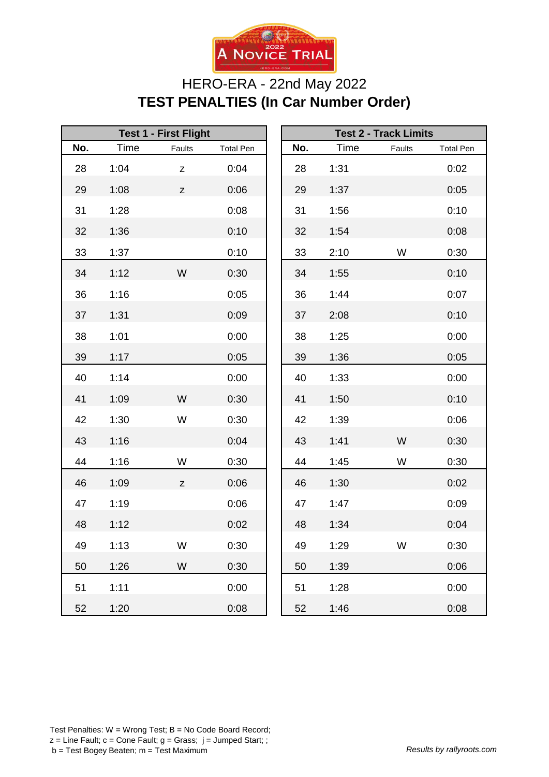

## HERO-ERA - 22nd May 2022 **TEST PENALTIES (In Car Number Order)**

| <b>Test 1 - First Flight</b> |      |                                                                                       |                  | <b>Test 2 - Track Limits</b> |      |        |                  |
|------------------------------|------|---------------------------------------------------------------------------------------|------------------|------------------------------|------|--------|------------------|
| No.                          | Time | Faults                                                                                | <b>Total Pen</b> | No.                          | Time | Faults | <b>Total Pen</b> |
| 28                           | 1:04 | Z                                                                                     | 0:04             | 28                           | 1:31 |        | 0:02             |
| 29                           | 1:08 | $\mathsf{Z}% _{T}=\mathsf{Z}_{T}\!\left( a,b\right) ,\ \mathsf{Z}_{T}=\mathsf{Z}_{T}$ | 0:06             | 29                           | 1:37 |        | 0:05             |
| 31                           | 1:28 |                                                                                       | 0:08             | 31                           | 1:56 |        | 0:10             |
| 32                           | 1:36 |                                                                                       | 0:10             | 32                           | 1:54 |        | 0:08             |
| 33                           | 1:37 |                                                                                       | 0:10             | 33                           | 2:10 | W      | 0:30             |
| 34                           | 1:12 | W                                                                                     | 0:30             | 34                           | 1:55 |        | 0:10             |
| 36                           | 1:16 |                                                                                       | 0:05             | 36                           | 1:44 |        | 0:07             |
| 37                           | 1:31 |                                                                                       | 0:09             | 37                           | 2:08 |        | 0:10             |
| 38                           | 1:01 |                                                                                       | 0:00             | 38                           | 1:25 |        | 0:00             |
| 39                           | 1:17 |                                                                                       | 0:05             | 39                           | 1:36 |        | 0:05             |
| 40                           | 1:14 |                                                                                       | 0:00             | 40                           | 1:33 |        | 0:00             |
| 41                           | 1:09 | W                                                                                     | 0:30             | 41                           | 1:50 |        | 0:10             |
| 42                           | 1:30 | W                                                                                     | 0:30             | 42                           | 1:39 |        | 0:06             |
| 43                           | 1:16 |                                                                                       | 0:04             | 43                           | 1:41 | W      | 0:30             |
| 44                           | 1:16 | W                                                                                     | 0:30             | 44                           | 1:45 | W      | 0:30             |
| 46                           | 1:09 | $\mathsf Z$                                                                           | 0:06             | 46                           | 1:30 |        | 0:02             |
| 47                           | 1:19 |                                                                                       | 0:06             | 47                           | 1:47 |        | 0:09             |
| 48                           | 1:12 |                                                                                       | 0:02             | 48                           | 1:34 |        | 0:04             |
| 49                           | 1:13 | W                                                                                     | 0:30             | 49                           | 1:29 | W      | 0:30             |
| 50                           | 1:26 | W                                                                                     | 0:30             | 50                           | 1:39 |        | 0:06             |
| 51                           | 1:11 |                                                                                       | 0:00             | 51                           | 1:28 |        | 0:00             |
| 52                           | 1:20 |                                                                                       | 0:08             | 52                           | 1:46 |        | 0:08             |

|     |      | <b>Test 2 - Track Limits</b> |                  |
|-----|------|------------------------------|------------------|
| No. | Time | Faults                       | <b>Total Pen</b> |
| 28  | 1:31 |                              | 0:02             |
| 29  | 1:37 |                              | 0:05             |
| 31  | 1:56 |                              | 0:10             |
| 32  | 1:54 |                              | 0:08             |
| 33  | 2:10 | W                            | 0:30             |
| 34  | 1:55 |                              | 0:10             |
| 36  | 1:44 |                              | 0:07             |
| 37  | 2:08 |                              | 0:10             |
| 38  | 1:25 |                              | 0:00             |
| 39  | 1:36 |                              | 0:05             |
| 40  | 1:33 |                              | 0:00             |
| 41  | 1:50 |                              | 0:10             |
| 42  | 1:39 |                              | 0:06             |
| 43  | 1:41 | W                            | 0:30             |
| 44  | 1:45 | W                            | 0:30             |
| 46  | 1:30 |                              | 0:02             |
| 47  | 1:47 |                              | 0:09             |
| 48  | 1:34 |                              | 0:04             |
| 49  | 1:29 | W                            | 0:30             |
| 50  | 1:39 |                              | 0:06             |
| 51  | 1:28 |                              | 0:00             |
| 52  | 1:46 |                              | 0:08             |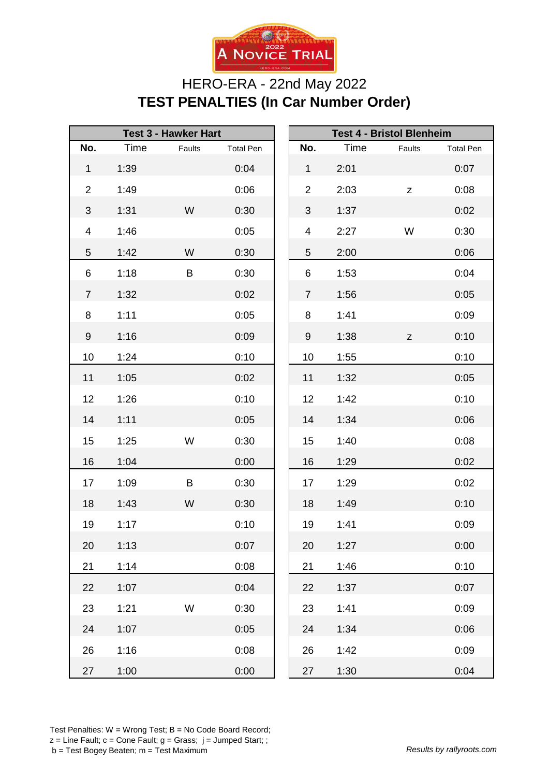

## HERO-ERA - 22nd May 2022 **TEST PENALTIES (In Car Number Order)**

| <b>Test 3 - Hawker Hart</b> |      |        |                  | <b>Test 4 - Bristol Blenheim</b> |      |             |                  |
|-----------------------------|------|--------|------------------|----------------------------------|------|-------------|------------------|
| No.                         | Time | Faults | <b>Total Pen</b> | No.                              | Time | Faults      | <b>Total Pen</b> |
| $\mathbf{1}$                | 1:39 |        | 0:04             | $\mathbf{1}$                     | 2:01 |             | 0:07             |
| $\overline{2}$              | 1:49 |        | 0:06             | $\overline{2}$                   | 2:03 | $\mathsf Z$ | 0:08             |
| 3                           | 1:31 | W      | 0:30             | $\mathfrak{S}$                   | 1:37 |             | 0:02             |
| 4                           | 1:46 |        | 0:05             | 4                                | 2:27 | W           | 0:30             |
| 5                           | 1:42 | W      | 0:30             | 5                                | 2:00 |             | 0:06             |
| 6                           | 1:18 | B      | 0:30             | 6                                | 1:53 |             | 0:04             |
| $\overline{7}$              | 1:32 |        | 0:02             | $\overline{7}$                   | 1:56 |             | 0:05             |
| 8                           | 1:11 |        | 0:05             | 8                                | 1:41 |             | 0:09             |
| 9                           | 1:16 |        | 0:09             | 9                                | 1:38 | $\mathsf Z$ | 0:10             |
| 10                          | 1:24 |        | 0:10             | 10                               | 1:55 |             | 0:10             |
| 11                          | 1:05 |        | 0:02             | 11                               | 1:32 |             | 0:05             |
| 12                          | 1:26 |        | 0:10             | 12                               | 1:42 |             | 0:10             |
| 14                          | 1:11 |        | 0:05             | 14                               | 1:34 |             | 0:06             |
| 15                          | 1:25 | W      | 0:30             | 15                               | 1:40 |             | 0:08             |
| 16                          | 1:04 |        | 0:00             | 16                               | 1:29 |             | 0:02             |
| 17                          | 1:09 | B      | 0:30             | 17                               | 1:29 |             | 0:02             |
| 18                          | 1:43 | W      | 0:30             | 18                               | 1:49 |             | 0:10             |
| 19                          | 1:17 |        | 0:10             | 19                               | 1:41 |             | 0:09             |
| 20                          | 1:13 |        | 0:07             | 20                               | 1:27 |             | 0:00             |
| 21                          | 1:14 |        | 0:08             | 21                               | 1:46 |             | 0:10             |
| 22                          | 1:07 |        | 0:04             | 22                               | 1:37 |             | 0:07             |
| 23                          | 1:21 | W      | 0:30             | 23                               | 1:41 |             | 0:09             |
| 24                          | 1:07 |        | 0:05             | 24                               | 1:34 |             | 0:06             |
| 26                          | 1:16 |        | 0:08             | 26                               | 1:42 |             | 0:09             |
| 27                          | 1:00 |        | 0:00             | 27                               | 1:30 |             | 0:04             |

Test Penalties: W = Wrong Test; B = No Code Board Record;  $z =$  Line Fault;  $c =$  Cone Fault;  $g =$  Grass;  $j =$  Jumped Start; ; b = Test Bogey Beaten; m = Test Maximum *Results by rallyroots.com*